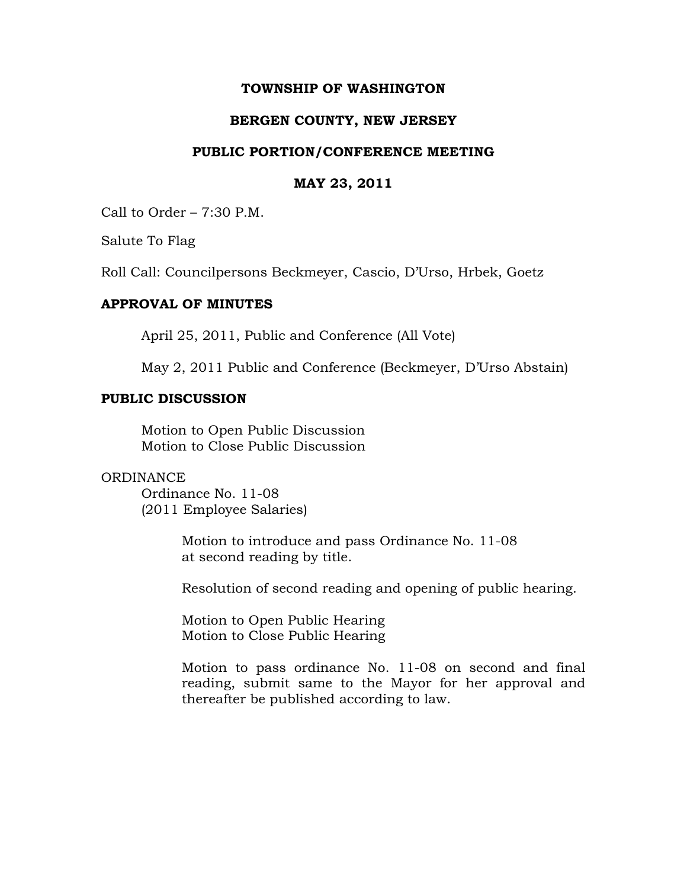### **TOWNSHIP OF WASHINGTON**

# **BERGEN COUNTY, NEW JERSEY**

### **PUBLIC PORTION/CONFERENCE MEETING**

#### **MAY 23, 2011**

Call to Order – 7:30 P.M.

Salute To Flag

Roll Call: Councilpersons Beckmeyer, Cascio, D'Urso, Hrbek, Goetz

# **APPROVAL OF MINUTES**

April 25, 2011, Public and Conference (All Vote)

May 2, 2011 Public and Conference (Beckmeyer, D'Urso Abstain)

#### **PUBLIC DISCUSSION**

Motion to Open Public Discussion Motion to Close Public Discussion

### ORDINANCE

Ordinance No. 11-08 (2011 Employee Salaries)

> Motion to introduce and pass Ordinance No. 11-08 at second reading by title.

Resolution of second reading and opening of public hearing.

Motion to Open Public Hearing Motion to Close Public Hearing

Motion to pass ordinance No. 11-08 on second and final reading, submit same to the Mayor for her approval and thereafter be published according to law.